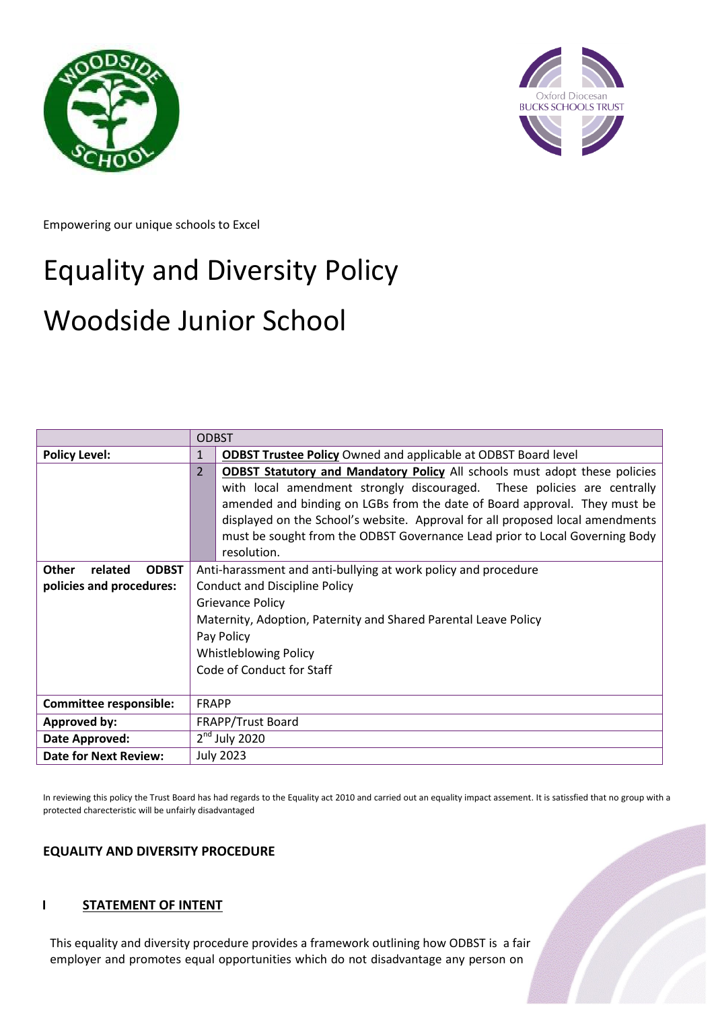



Empowering our unique schools to Excel

# Equality and Diversity Policy

## Woodside Junior School

|                                                                     | <b>ODBST</b>                                                                                                                                                                                                                                                                                                                                                                                                             |  |
|---------------------------------------------------------------------|--------------------------------------------------------------------------------------------------------------------------------------------------------------------------------------------------------------------------------------------------------------------------------------------------------------------------------------------------------------------------------------------------------------------------|--|
| <b>Policy Level:</b>                                                | <b>ODBST Trustee Policy</b> Owned and applicable at ODBST Board level                                                                                                                                                                                                                                                                                                                                                    |  |
|                                                                     | <b>ODBST Statutory and Mandatory Policy All schools must adopt these policies</b><br>with local amendment strongly discouraged. These policies are centrally<br>amended and binding on LGBs from the date of Board approval. They must be<br>displayed on the School's website. Approval for all proposed local amendments<br>must be sought from the ODBST Governance Lead prior to Local Governing Body<br>resolution. |  |
| <b>ODBST</b><br><b>Other</b><br>related<br>policies and procedures: | Anti-harassment and anti-bullying at work policy and procedure<br><b>Conduct and Discipline Policy</b><br><b>Grievance Policy</b><br>Maternity, Adoption, Paternity and Shared Parental Leave Policy<br>Pay Policy<br><b>Whistleblowing Policy</b><br>Code of Conduct for Staff                                                                                                                                          |  |
| <b>Committee responsible:</b>                                       | <b>FRAPP</b>                                                                                                                                                                                                                                                                                                                                                                                                             |  |
| Approved by:                                                        | FRAPP/Trust Board                                                                                                                                                                                                                                                                                                                                                                                                        |  |
| Date Approved:                                                      | $2nd$ July 2020                                                                                                                                                                                                                                                                                                                                                                                                          |  |
| <b>Date for Next Review:</b>                                        | <b>July 2023</b>                                                                                                                                                                                                                                                                                                                                                                                                         |  |

In reviewing this policy the Trust Board has had regards to the Equality act 2010 and carried out an equality impact assement. It is satissfied that no group with a protected charecteristic will be unfairly disadvantaged

## **EQUALITY AND DIVERSITY PROCEDURE**

## **I** STATEMENT OF INTENT

This equality and diversity procedure provides a framework outlining how ODBST is a fair employer and promotes equal opportunities which do not disadvantage any person on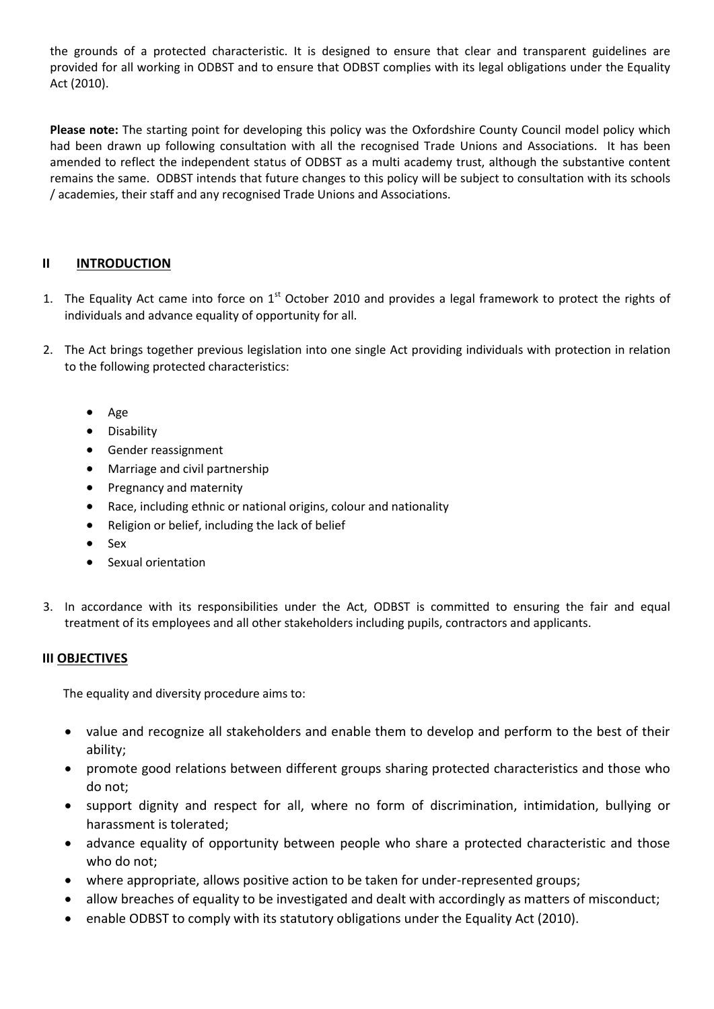the grounds of a protected characteristic. It is designed to ensure that clear and transparent guidelines are provided for all working in ODBST and to ensure that ODBST complies with its legal obligations under the Equality Act (2010).

**Please note:** The starting point for developing this policy was the Oxfordshire County Council model policy which had been drawn up following consultation with all the recognised Trade Unions and Associations. It has been amended to reflect the independent status of ODBST as a multi academy trust, although the substantive content remains the same. ODBST intends that future changes to this policy will be subject to consultation with its schools / academies, their staff and any recognised Trade Unions and Associations.

## **II INTRODUCTION**

- 1. The Equality Act came into force on  $1<sup>st</sup>$  October 2010 and provides a legal framework to protect the rights of individuals and advance equality of opportunity for all.
- 2. The Act brings together previous legislation into one single Act providing individuals with protection in relation to the following protected characteristics:
	- Age
	- **•** Disability
	- Gender reassignment
	- Marriage and civil partnership
	- Pregnancy and maternity
	- Race, including ethnic or national origins, colour and nationality
	- Religion or belief, including the lack of belief
	- Sex
	- Sexual orientation
- 3. In accordance with its responsibilities under the Act, ODBST is committed to ensuring the fair and equal treatment of its employees and all other stakeholders including pupils, contractors and applicants.

#### **III OBJECTIVES**

The equality and diversity procedure aims to:

- value and recognize all stakeholders and enable them to develop and perform to the best of their ability;
- promote good relations between different groups sharing protected characteristics and those who do not;
- support dignity and respect for all, where no form of discrimination, intimidation, bullying or harassment is tolerated;
- advance equality of opportunity between people who share a protected characteristic and those who do not;
- where appropriate, allows positive action to be taken for under-represented groups;
- allow breaches of equality to be investigated and dealt with accordingly as matters of misconduct;
- enable ODBST to comply with its statutory obligations under the Equality Act (2010).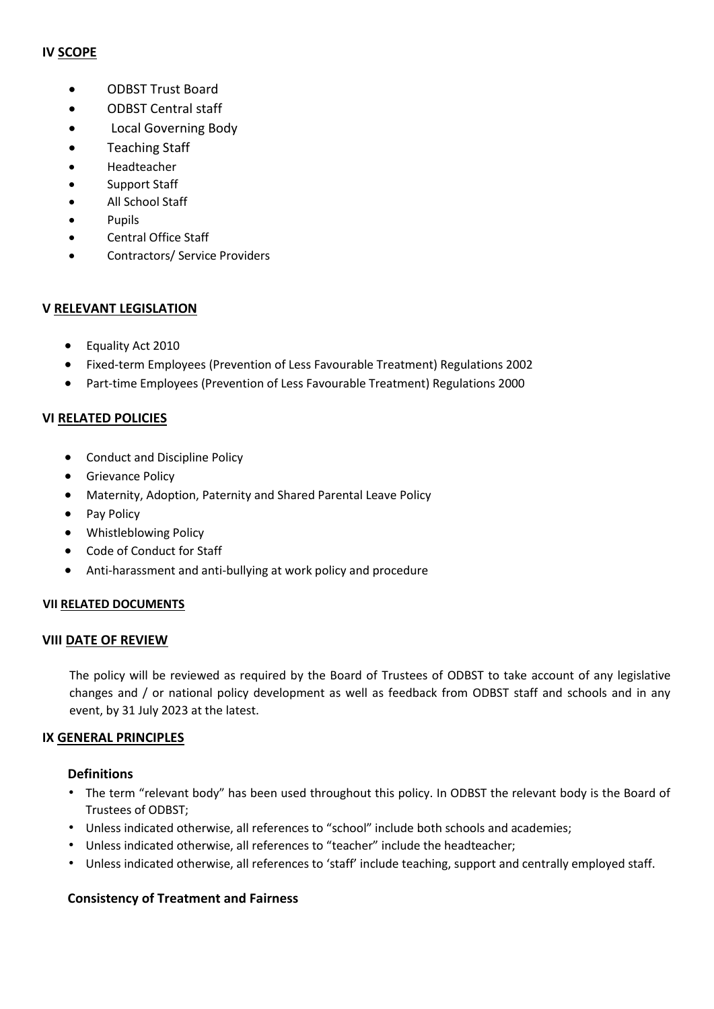#### **IV SCOPE**

- **CODBST Trust Board**
- ODBST Central staff
- Local Governing Body
- Teaching Staff
- Headteacher
- Support Staff
- All School Staff
- Pupils
- Central Office Staff
- Contractors/ Service Providers

## **V RELEVANT LEGISLATION**

- Equality Act 2010
- Fixed-term Employees (Prevention of Less Favourable Treatment) Regulations 2002
- Part-time Employees (Prevention of Less Favourable Treatment) Regulations 2000

## **VI RELATED POLICIES**

- Conduct and Discipline Policy
- **•** Grievance Policy
- Maternity, Adoption, Paternity and Shared Parental Leave Policy
- Pay Policy
- Whistleblowing Policy
- Code of Conduct for Staff
- Anti-harassment and anti-bullying at work policy and procedure

## **VII RELATED DOCUMENTS**

## **VIII DATE OF REVIEW**

The policy will be reviewed as required by the Board of Trustees of ODBST to take account of any legislative changes and / or national policy development as well as feedback from ODBST staff and schools and in any event, by 31 July 2023 at the latest.

## **IX GENERAL PRINCIPLES**

## **Definitions**

- The term "relevant body" has been used throughout this policy. In ODBST the relevant body is the Board of Trustees of ODBST;
- Unless indicated otherwise, all references to "school" include both schools and academies;
- Unless indicated otherwise, all references to "teacher" include the headteacher;
- Unless indicated otherwise, all references to 'staff' include teaching, support and centrally employed staff.

## **Consistency of Treatment and Fairness**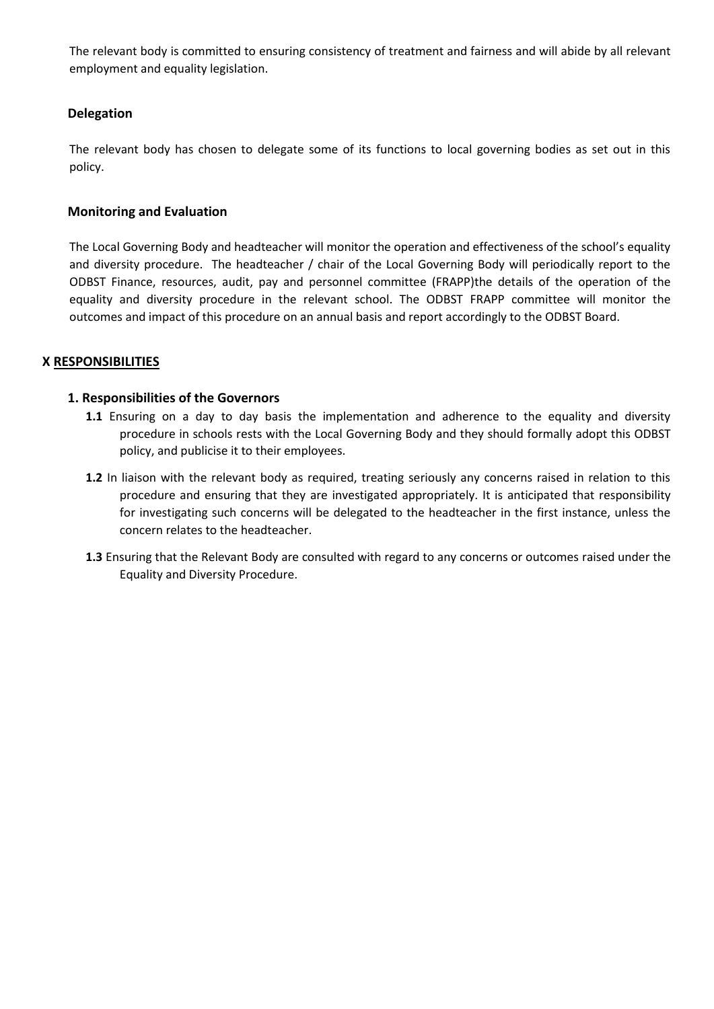The relevant body is committed to ensuring consistency of treatment and fairness and will abide by all relevant employment and equality legislation.

#### **Delegation**

The relevant body has chosen to delegate some of its functions to local governing bodies as set out in this policy.

#### **Monitoring and Evaluation**

The Local Governing Body and headteacher will monitor the operation and effectiveness of the school's equality and diversity procedure. The headteacher / chair of the Local Governing Body will periodically report to the ODBST Finance, resources, audit, pay and personnel committee (FRAPP)the details of the operation of the equality and diversity procedure in the relevant school. The ODBST FRAPP committee will monitor the outcomes and impact of this procedure on an annual basis and report accordingly to the ODBST Board.

#### **X RESPONSIBILITIES**

#### **1. Responsibilities of the Governors**

- **1.1** Ensuring on a day to day basis the implementation and adherence to the equality and diversity procedure in schools rests with the Local Governing Body and they should formally adopt this ODBST policy, and publicise it to their employees.
- **1.2** In liaison with the relevant body as required, treating seriously any concerns raised in relation to this procedure and ensuring that they are investigated appropriately. It is anticipated that responsibility for investigating such concerns will be delegated to the headteacher in the first instance, unless the concern relates to the headteacher.
- **1.3** Ensuring that the Relevant Body are consulted with regard to any concerns or outcomes raised under the Equality and Diversity Procedure.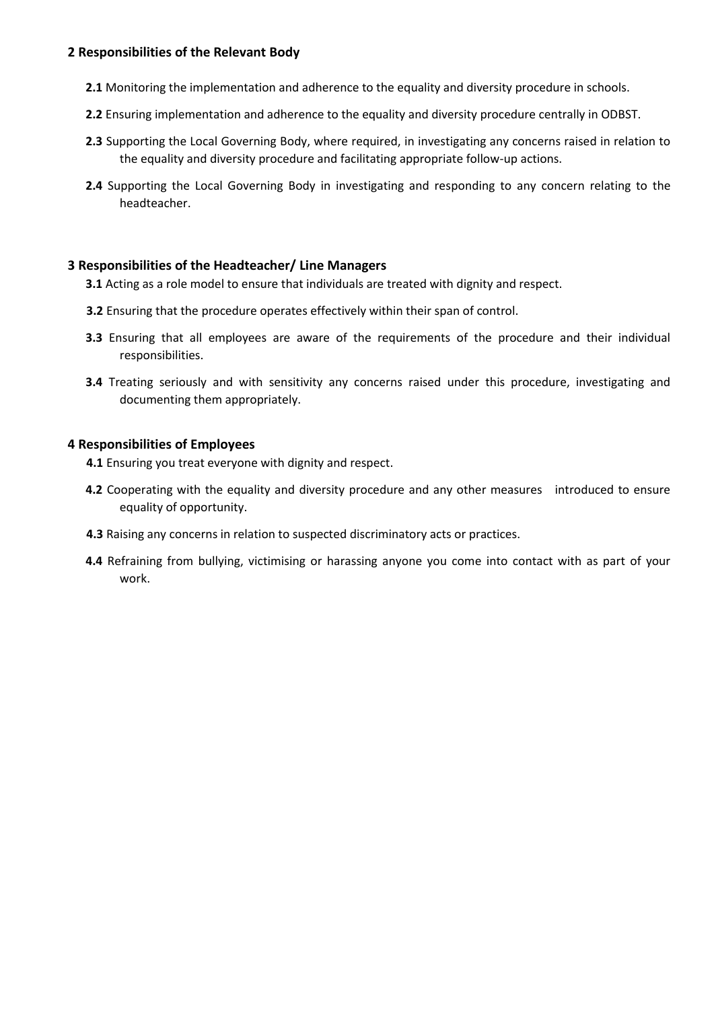#### **2 Responsibilities of the Relevant Body**

- **2.1** Monitoring the implementation and adherence to the equality and diversity procedure in schools.
- **2.2** Ensuring implementation and adherence to the equality and diversity procedure centrally in ODBST.
- **2.3** Supporting the Local Governing Body, where required, in investigating any concerns raised in relation to the equality and diversity procedure and facilitating appropriate follow-up actions.
- **2.4** Supporting the Local Governing Body in investigating and responding to any concern relating to the headteacher.

#### **3 Responsibilities of the Headteacher/ Line Managers**

- **3.1** Acting as a role model to ensure that individuals are treated with dignity and respect.
- **3.2** Ensuring that the procedure operates effectively within their span of control.
- **3.3** Ensuring that all employees are aware of the requirements of the procedure and their individual responsibilities.
- **3.4** Treating seriously and with sensitivity any concerns raised under this procedure, investigating and documenting them appropriately.

#### **4 Responsibilities of Employees**

- **4.1** Ensuring you treat everyone with dignity and respect.
- **4.2** Cooperating with the equality and diversity procedure and any other measures introduced to ensure equality of opportunity.
- **4.3** Raising any concerns in relation to suspected discriminatory acts or practices.
- **4.4** Refraining from bullying, victimising or harassing anyone you come into contact with as part of your work.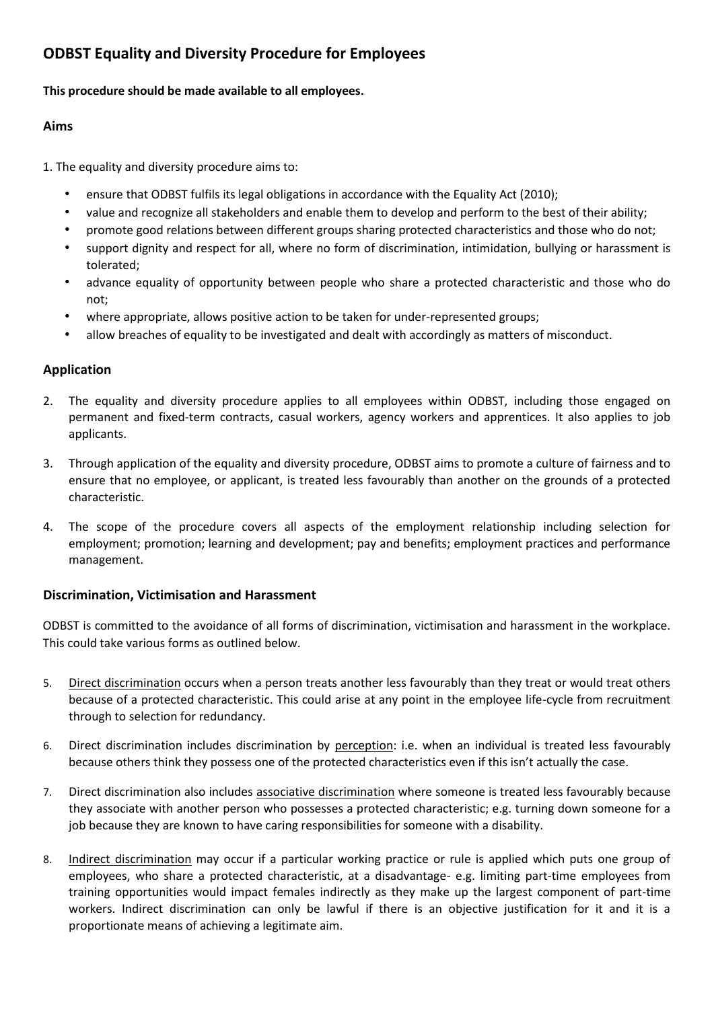## **ODBST Equality and Diversity Procedure for Employees**

#### **This procedure should be made available to all employees.**

### **Aims**

1. The equality and diversity procedure aims to:

- ensure that ODBST fulfils its legal obligations in accordance with the Equality Act (2010);
- value and recognize all stakeholders and enable them to develop and perform to the best of their ability;
- promote good relations between different groups sharing protected characteristics and those who do not;
- support dignity and respect for all, where no form of discrimination, intimidation, bullying or harassment is tolerated;
- advance equality of opportunity between people who share a protected characteristic and those who do not;
- where appropriate, allows positive action to be taken for under-represented groups;
- allow breaches of equality to be investigated and dealt with accordingly as matters of misconduct.

## **Application**

- 2. The equality and diversity procedure applies to all employees within ODBST, including those engaged on permanent and fixed-term contracts, casual workers, agency workers and apprentices. It also applies to job applicants.
- 3. Through application of the equality and diversity procedure, ODBST aims to promote a culture of fairness and to ensure that no employee, or applicant, is treated less favourably than another on the grounds of a protected characteristic.
- 4. The scope of the procedure covers all aspects of the employment relationship including selection for employment; promotion; learning and development; pay and benefits; employment practices and performance management.

#### **Discrimination, Victimisation and Harassment**

ODBST is committed to the avoidance of all forms of discrimination, victimisation and harassment in the workplace. This could take various forms as outlined below.

- 5. Direct discrimination occurs when a person treats another less favourably than they treat or would treat others because of a protected characteristic. This could arise at any point in the employee life-cycle from recruitment through to selection for redundancy.
- 6. Direct discrimination includes discrimination by perception: i.e. when an individual is treated less favourably because others think they possess one of the protected characteristics even if this isn't actually the case.
- 7. Direct discrimination also includes associative discrimination where someone is treated less favourably because they associate with another person who possesses a protected characteristic; e.g. turning down someone for a job because they are known to have caring responsibilities for someone with a disability.
- 8. Indirect discrimination may occur if a particular working practice or rule is applied which puts one group of employees, who share a protected characteristic, at a disadvantage- e.g. limiting part-time employees from training opportunities would impact females indirectly as they make up the largest component of part-time workers. Indirect discrimination can only be lawful if there is an objective justification for it and it is a proportionate means of achieving a legitimate aim.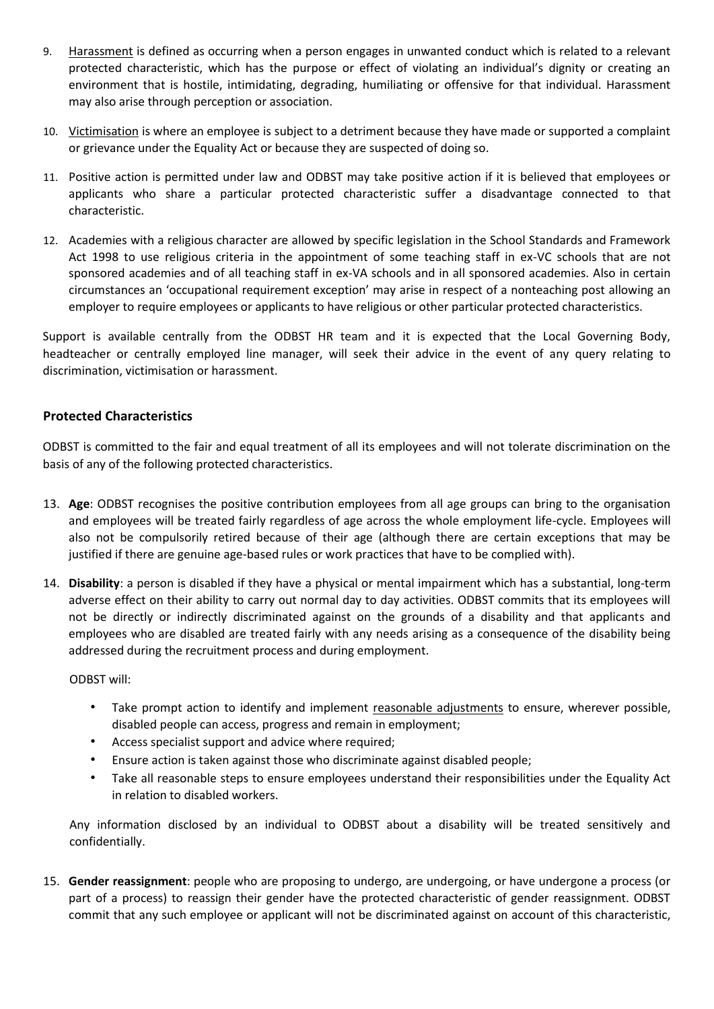- 9. Harassment is defined as occurring when a person engages in unwanted conduct which is related to a relevant protected characteristic, which has the purpose or effect of violating an individual's dignity or creating an environment that is hostile, intimidating, degrading, humiliating or offensive for that individual. Harassment may also arise through perception or association.
- 10. Victimisation is where an employee is subject to a detriment because they have made or supported a complaint or grievance under the Equality Act or because they are suspected of doing so.
- 11. Positive action is permitted under law and ODBST may take positive action if it is believed that employees or applicants who share a particular protected characteristic suffer a disadvantage connected to that characteristic.
- 12. Academies with a religious character are allowed by specific legislation in the School Standards and Framework Act 1998 to use religious criteria in the appointment of some teaching staff in ex-VC schools that are not sponsored academies and of all teaching staff in ex-VA schools and in all sponsored academies. Also in certain circumstances an 'occupational requirement exception' may arise in respect of a nonteaching post allowing an employer to require employees or applicants to have religious or other particular protected characteristics.

Support is available centrally from the ODBST HR team and it is expected that the Local Governing Body, headteacher or centrally employed line manager, will seek their advice in the event of any query relating to discrimination, victimisation or harassment.

#### **Protected Characteristics**

ODBST is committed to the fair and equal treatment of all its employees and will not tolerate discrimination on the basis of any of the following protected characteristics.

- 13. **Age**: ODBST recognises the positive contribution employees from all age groups can bring to the organisation and employees will be treated fairly regardless of age across the whole employment life-cycle. Employees will also not be compulsorily retired because of their age (although there are certain exceptions that may be justified if there are genuine age-based rules or work practices that have to be complied with).
- 14. **Disability**: a person is disabled if they have a physical or mental impairment which has a substantial, long-term adverse effect on their ability to carry out normal day to day activities. ODBST commits that its employees will not be directly or indirectly discriminated against on the grounds of a disability and that applicants and employees who are disabled are treated fairly with any needs arising as a consequence of the disability being addressed during the recruitment process and during employment.

ODBST will:

- Take prompt action to identify and implement reasonable adjustments to ensure, wherever possible, disabled people can access, progress and remain in employment;
- Access specialist support and advice where required;
- Ensure action is taken against those who discriminate against disabled people;
- Take all reasonable steps to ensure employees understand their responsibilities under the Equality Act in relation to disabled workers.

Any information disclosed by an individual to ODBST about a disability will be treated sensitively and confidentially.

15. **Gender reassignment**: people who are proposing to undergo, are undergoing, or have undergone a process (or part of a process) to reassign their gender have the protected characteristic of gender reassignment. ODBST commit that any such employee or applicant will not be discriminated against on account of this characteristic,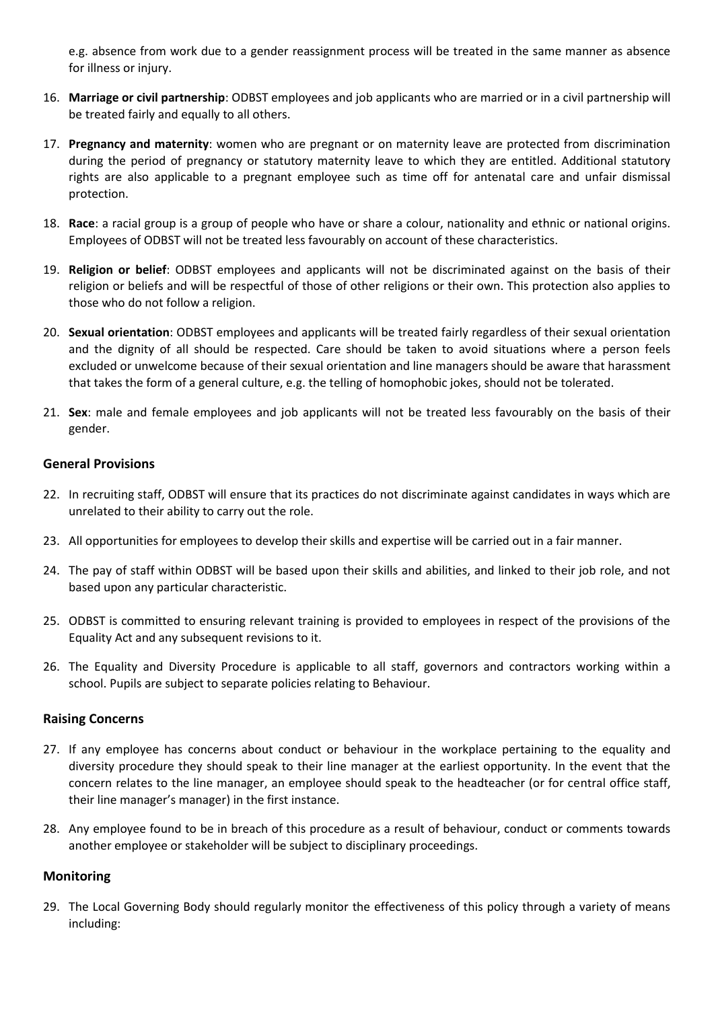e.g. absence from work due to a gender reassignment process will be treated in the same manner as absence for illness or injury.

- 16. **Marriage or civil partnership**: ODBST employees and job applicants who are married or in a civil partnership will be treated fairly and equally to all others.
- 17. **Pregnancy and maternity**: women who are pregnant or on maternity leave are protected from discrimination during the period of pregnancy or statutory maternity leave to which they are entitled. Additional statutory rights are also applicable to a pregnant employee such as time off for antenatal care and unfair dismissal protection.
- 18. **Race**: a racial group is a group of people who have or share a colour, nationality and ethnic or national origins. Employees of ODBST will not be treated less favourably on account of these characteristics.
- 19. **Religion or belief**: ODBST employees and applicants will not be discriminated against on the basis of their religion or beliefs and will be respectful of those of other religions or their own. This protection also applies to those who do not follow a religion.
- 20. **Sexual orientation**: ODBST employees and applicants will be treated fairly regardless of their sexual orientation and the dignity of all should be respected. Care should be taken to avoid situations where a person feels excluded or unwelcome because of their sexual orientation and line managers should be aware that harassment that takes the form of a general culture, e.g. the telling of homophobic jokes, should not be tolerated.
- 21. **Sex**: male and female employees and job applicants will not be treated less favourably on the basis of their gender.

#### **General Provisions**

- 22. In recruiting staff, ODBST will ensure that its practices do not discriminate against candidates in ways which are unrelated to their ability to carry out the role.
- 23. All opportunities for employees to develop their skills and expertise will be carried out in a fair manner.
- 24. The pay of staff within ODBST will be based upon their skills and abilities, and linked to their job role, and not based upon any particular characteristic.
- 25. ODBST is committed to ensuring relevant training is provided to employees in respect of the provisions of the Equality Act and any subsequent revisions to it.
- 26. The Equality and Diversity Procedure is applicable to all staff, governors and contractors working within a school. Pupils are subject to separate policies relating to Behaviour.

#### **Raising Concerns**

- 27. If any employee has concerns about conduct or behaviour in the workplace pertaining to the equality and diversity procedure they should speak to their line manager at the earliest opportunity. In the event that the concern relates to the line manager, an employee should speak to the headteacher (or for central office staff, their line manager's manager) in the first instance.
- 28. Any employee found to be in breach of this procedure as a result of behaviour, conduct or comments towards another employee or stakeholder will be subject to disciplinary proceedings.

#### **Monitoring**

29. The Local Governing Body should regularly monitor the effectiveness of this policy through a variety of means including: